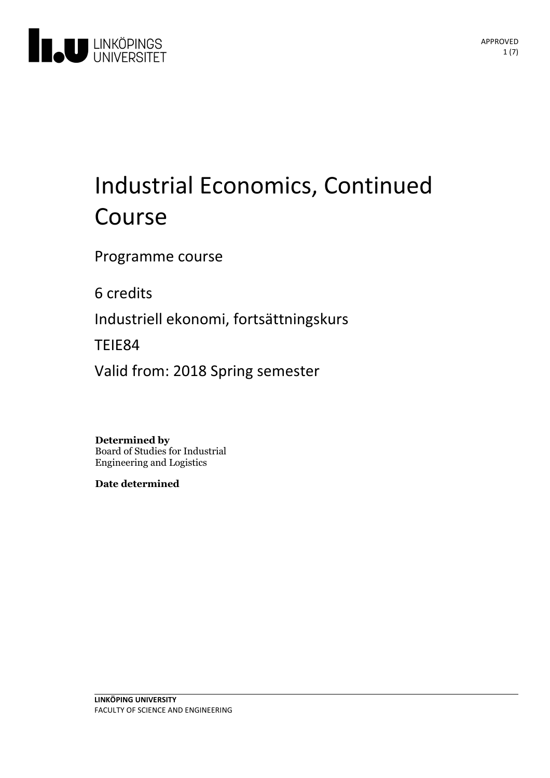

# Industrial Economics, Continued Course

Programme course

6 credits

Industriell ekonomi, fortsättningskurs

TEIE84

Valid from: 2018 Spring semester

**Determined by**

Board of Studies for Industrial Engineering and Logistics

**Date determined**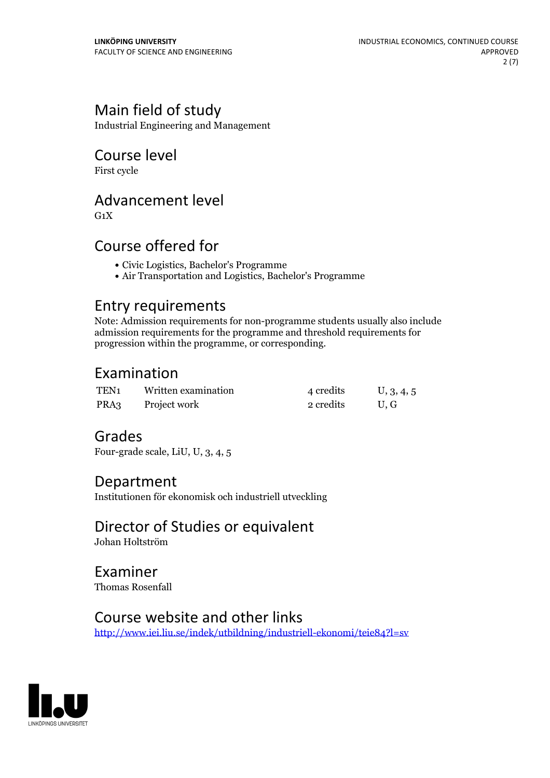# Main field of study

Industrial Engineering and Management

## Course level

First cycle

## Advancement level

 $G_1X$ 

# Course offered for

- Civic Logistics, Bachelor's Programme
- Air Transportation and Logistics, Bachelor's Programme

### Entry requirements

Note: Admission requirements for non-programme students usually also include admission requirements for the programme and threshold requirements for progression within the programme, or corresponding.

## Examination

| TEN <sub>1</sub> | Written examination | 4 credits | U, 3, 4, 5 |
|------------------|---------------------|-----------|------------|
| PRA3             | Project work        | 2 credits | U.G        |

# Grades

Four-grade scale, LiU, U, 3, 4, 5

### Department

Institutionen för ekonomisk och industriell utveckling

# Director of Studies or equivalent

Johan Holtström

Examiner Thomas Rosenfall

### Course website and other links

<http://www.iei.liu.se/indek/utbildning/industriell-ekonomi/teie84?l=sv>

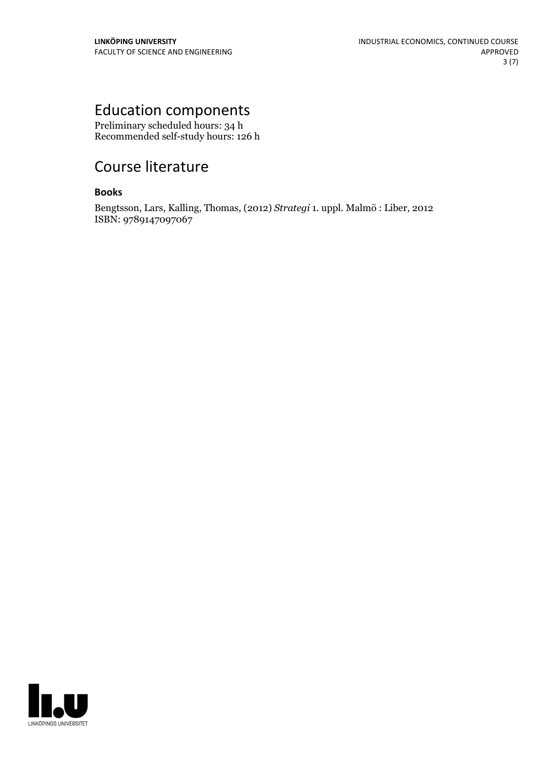# Education components

Preliminary scheduled hours: 34 h Recommended self-study hours: 126 h

# Course literature

#### **Books**

Bengtsson, Lars, Kalling, Thomas, (2012) *Strategi* 1. uppl. Malmö : Liber, 2012 ISBN: 9789147097067

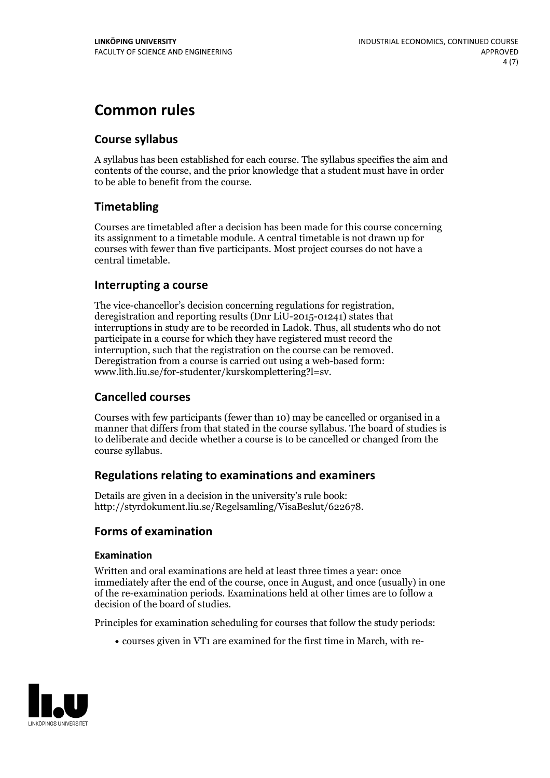# **Common rules**

#### **Course syllabus**

A syllabus has been established for each course. The syllabus specifies the aim and contents of the course, and the prior knowledge that a student must have in order to be able to benefit from the course.

#### **Timetabling**

Courses are timetabled after a decision has been made for this course concerning its assignment to a timetable module. A central timetable is not drawn up for courses with fewer than five participants. Most project courses do not have a central timetable.

#### **Interrupting a course**

The vice-chancellor's decision concerning regulations for registration, deregistration and reporting results (Dnr LiU-2015-01241) states that interruptions in study are to be recorded in Ladok. Thus, all students who do not participate in a course for which they have registered must record the interruption, such that the registration on the course can be removed. Deregistration from <sup>a</sup> course is carried outusing <sup>a</sup> web-based form: www.lith.liu.se/for-studenter/kurskomplettering?l=sv.

#### **Cancelled courses**

Courses with few participants (fewer than 10) may be cancelled or organised in a manner that differs from that stated in the course syllabus. The board of studies is to deliberate and decide whether a course is to be cancelled orchanged from the course syllabus.

#### **Regulations relatingto examinations and examiners**

Details are given in a decision in the university's rule book: http://styrdokument.liu.se/Regelsamling/VisaBeslut/622678.

#### **Forms of examination**

#### **Examination**

Written and oral examinations are held at least three times a year: once immediately after the end of the course, once in August, and once (usually) in one of the re-examination periods. Examinations held at other times are to follow a decision of the board of studies.

Principles for examination scheduling for courses that follow the study periods:

courses given in VT1 are examined for the first time in March, with re-

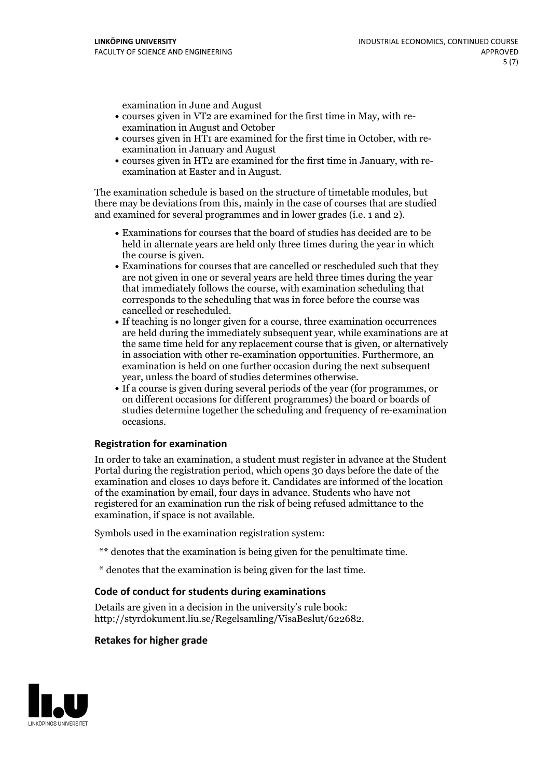examination in June and August

- courses given in VT2 are examined for the first time in May, with re-examination in August and October
- courses given in HT1 are examined for the first time in October, with re-examination in January and August
- courses given in HT2 are examined for the first time in January, with re-examination at Easter and in August.

The examination schedule is based on the structure of timetable modules, but there may be deviations from this, mainly in the case of courses that are studied and examined for several programmes and in lower grades (i.e. 1 and 2).

- Examinations for courses that the board of studies has decided are to be held in alternate years are held only three times during the year in which
- the course is given.<br>• Examinations for courses that are cancelled or rescheduled such that they are not given in one or several years are held three times during the year that immediately follows the course, with examination scheduling that corresponds to the scheduling that was in force before the course was cancelled or rescheduled.<br>• If teaching is no longer given for a course, three examination occurrences
- are held during the immediately subsequent year, while examinations are at the same time held for any replacement course that is given, or alternatively in association with other re-examination opportunities. Furthermore, an examination is held on one further occasion during the next subsequent year, unless the board of studies determines otherwise.<br>• If a course is given during several periods of the year (for programmes, or
- on different occasions for different programmes) the board orboards of studies determine together the scheduling and frequency of re-examination occasions.

#### **Registration for examination**

In order to take an examination, a student must register in advance at the Student Portal during the registration period, which opens 30 days before the date of the examination and closes 10 days before it. Candidates are informed of the location of the examination by email, four days in advance. Students who have not registered for an examination run the risk of being refused admittance to the examination, if space is not available.

Symbols used in the examination registration system:

- \*\* denotes that the examination is being given for the penultimate time.
- \* denotes that the examination is being given for the last time.

#### **Code of conduct for students during examinations**

Details are given in a decision in the university's rule book: http://styrdokument.liu.se/Regelsamling/VisaBeslut/622682.

#### **Retakes for higher grade**

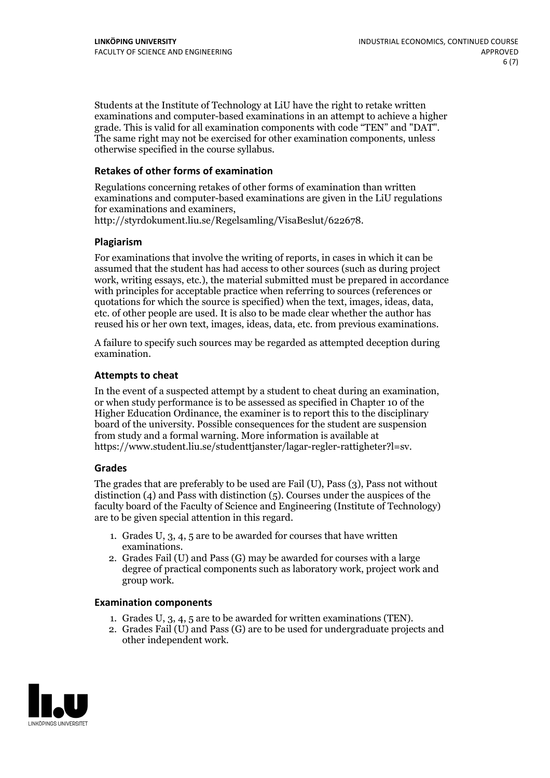Students at the Institute of Technology at LiU have the right to retake written examinations and computer-based examinations in an attempt to achieve a higher grade. This is valid for all examination components with code "TEN" and "DAT". The same right may not be exercised for other examination components, unless otherwise specified in the course syllabus.

#### **Retakes of other forms of examination**

Regulations concerning retakes of other forms of examination than written examinations and computer-based examinations are given in the LiU regulations

http://styrdokument.liu.se/Regelsamling/VisaBeslut/622678.

#### **Plagiarism**

For examinations that involve the writing of reports, in cases in which it can be assumed that the student has had access to other sources (such as during project work, writing essays, etc.), the material submitted must be prepared in accordance with principles for acceptable practice when referring to sources (references or quotations for which the source is specified) when the text, images, ideas, data, etc. of other people are used. It is also to be made clear whether the author has reused his or her own text, images, ideas, data, etc. from previous examinations.

A failure to specify such sources may be regarded as attempted deception during examination.

#### **Attempts to cheat**

In the event of <sup>a</sup> suspected attempt by <sup>a</sup> student to cheat during an examination, or when study performance is to be assessed as specified in Chapter <sup>10</sup> of the Higher Education Ordinance, the examiner is to report this to the disciplinary board of the university. Possible consequences for the student are suspension from study and a formal warning. More information is available at https://www.student.liu.se/studenttjanster/lagar-regler-rattigheter?l=sv.

#### **Grades**

The grades that are preferably to be used are Fail (U), Pass (3), Pass not without distinction  $(4)$  and Pass with distinction  $(5)$ . Courses under the auspices of the faculty board of the Faculty of Science and Engineering (Institute of Technology) are to be given special attention in this regard.

- 1. Grades U, 3, 4, 5 are to be awarded for courses that have written
- examinations. 2. Grades Fail (U) and Pass (G) may be awarded for courses with <sup>a</sup> large degree of practical components such as laboratory work, project work and group work.

#### **Examination components**

- 
- 1. Grades U, 3, 4, <sup>5</sup> are to be awarded for written examinations (TEN). 2. Grades Fail (U) and Pass (G) are to be used for undergraduate projects and other independent work.